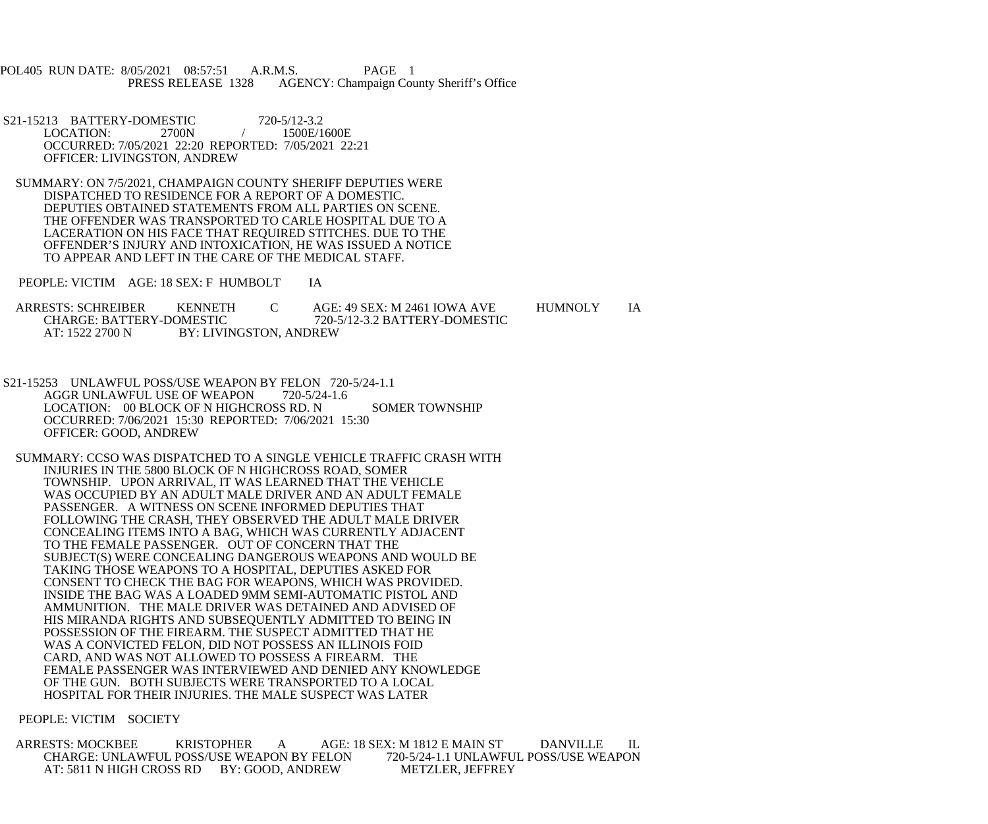POL405 RUN DATE: 8/05/2021 08:57:51 A.R.M.S. PAGE 1 PRESS RELEASE 1328 AGENCY: Champaign County Sheriff's Office

- S21-15213 BATTERY-DOMESTIC 720-5/12-3.2<br>LOCATION: 2700N / 1500E/1600E LOCATION: OCCURRED: 7/05/2021 22:20 REPORTED: 7/05/2021 22:21 OFFICER: LIVINGSTON, ANDREW
- SUMMARY: ON 7/5/2021, CHAMPAIGN COUNTY SHERIFF DEPUTIES WERE DISPATCHED TO RESIDENCE FOR A REPORT OF A DOMESTIC. DEPUTIES OBTAINED STATEMENTS FROM ALL PARTIES ON SCENE. THE OFFENDER WAS TRANSPORTED TO CARLE HOSPITAL DUE TO A LACERATION ON HIS FACE THAT REQUIRED STITCHES. DUE TO THE OFFENDER'S INJURY AND INTOXICATION, HE WAS ISSUED A NOTICE TO APPEAR AND LEFT IN THE CARE OF THE MEDICAL STAFF.
- PEOPLE: VICTIM AGE: 18 SEX: F HUMBOLT IA

| <b>ARRESTS: SCHREIBER</b>                 | <b>KENNETH</b> |  | AGE: 49 SEX: M 2461 IOWA AVE  | <b>HUMNOLY</b> |  |
|-------------------------------------------|----------------|--|-------------------------------|----------------|--|
| <b>CHARGE: BATTERY-DOMESTIC</b>           |                |  | 720-5/12-3.2 BATTERY-DOMESTIC |                |  |
| BY: LIVINGSTON, ANDREW<br>AT: 1522 2700 N |                |  |                               |                |  |

- S21-15253 UNLAWFUL POSS/USE WEAPON BY FELON 720-5/24-1.1 AGGR UNLAWFUL USE OF WEAPON 720-5/24-1.6 LOCATION: 00 BLOCK OF N HIGHCROSS RD. N SOMER TOWNSHIP OCCURRED: 7/06/2021 15:30 REPORTED: 7/06/2021 15:30 OFFICER: GOOD, ANDREW
- SUMMARY: CCSO WAS DISPATCHED TO A SINGLE VEHICLE TRAFFIC CRASH WITH INJURIES IN THE 5800 BLOCK OF N HIGHCROSS ROAD, SOMER TOWNSHIP. UPON ARRIVAL, IT WAS LEARNED THAT THE VEHICLE WAS OCCUPIED BY AN ADULT MALE DRIVER AND AN ADULT FEMALE PASSENGER. A WITNESS ON SCENE INFORMED DEPUTIES THAT FOLLOWING THE CRASH, THEY OBSERVED THE ADULT MALE DRIVER CONCEALING ITEMS INTO A BAG, WHICH WAS CURRENTLY ADJACENT TO THE FEMALE PASSENGER. OUT OF CONCERN THAT THE SUBJECT(S) WERE CONCEALING DANGEROUS WEAPONS AND WOULD BE TAKING THOSE WEAPONS TO A HOSPITAL, DEPUTIES ASKED FOR CONSENT TO CHECK THE BAG FOR WEAPONS, WHICH WAS PROVIDED. INSIDE THE BAG WAS A LOADED 9MM SEMI-AUTOMATIC PISTOL AND AMMUNITION. THE MALE DRIVER WAS DETAINED AND ADVISED OF HIS MIRANDA RIGHTS AND SUBSEQUENTLY ADMITTED TO BEING IN POSSESSION OF THE FIREARM. THE SUSPECT ADMITTED THAT HE WAS A CONVICTED FELON, DID NOT POSSESS AN ILLINOIS FOID CARD, AND WAS NOT ALLOWED TO POSSESS A FIREARM. THE FEMALE PASSENGER WAS INTERVIEWED AND DENIED ANY KNOWLEDGE OF THE GUN. BOTH SUBJECTS WERE TRANSPORTED TO A LOCAL HOSPITAL FOR THEIR INJURIES. THE MALE SUSPECT WAS LATER

## PEOPLE: VICTIM SOCIETY

 ARRESTS: MOCKBEE KRISTOPHER A AGE: 18 SEX: M 1812 E MAIN ST DANVILLE IL CHARGE: UNLAWFUL POSS/USE WEAPON BY FELON 720-5/24-1.1 UNLAWFUL POSS/USE WEAPON AT: 5811 N HIGH CROSS RD BY: GOOD, ANDREW METZLER, JEFFREY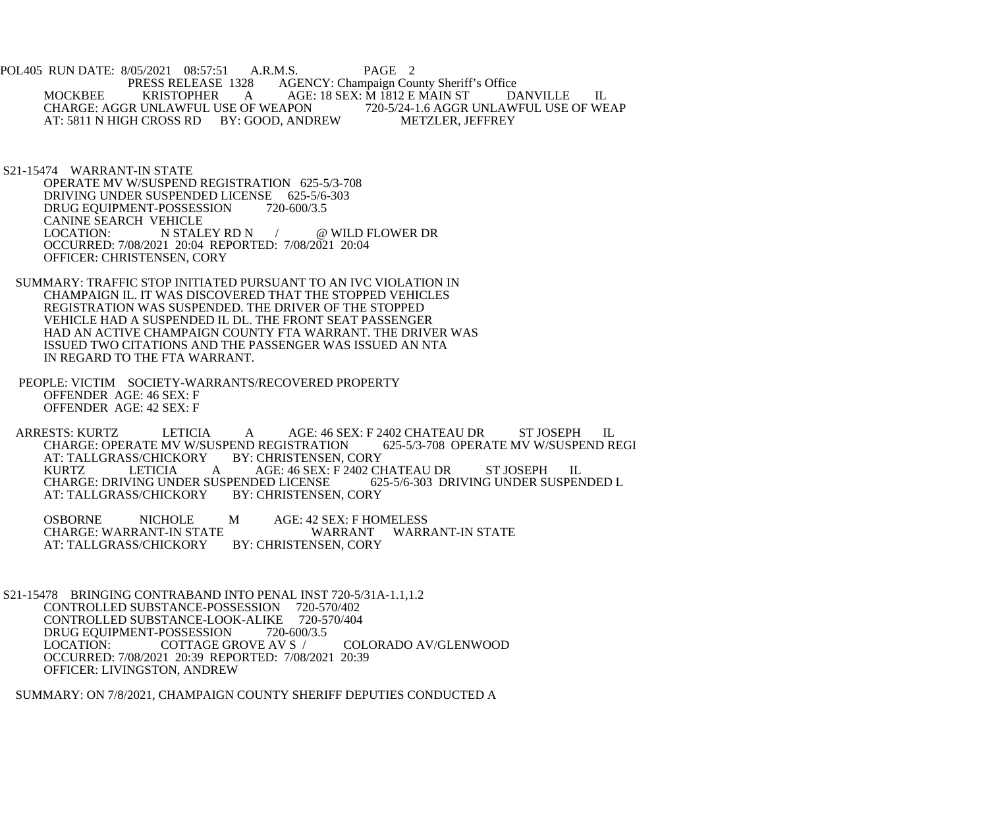POL405 RUN DATE: 8/05/2021 08:57:51 A.R.M.S. PAGE 2<br>PRESS RELEASE 1328 AGENCY: Champaign Cou AGENCY: Champaign County Sheriff's Office MOCKBEE KRISTOPHER A AGE: 18 SEX: M 1812 E MAIN ST DANVILLE IL<br>CHARGE: AGGR UNLAWFUL USE OF WEAPON 720-5/24-1.6 AGGR UNLAWFUL USE OF WEAP CHARGE: AGGR UNLAWFUL USE OF WEAPON 720-5/24-1.6 AGGR UNLAW<br>AT: 5811 N HIGH CROSS RD BY: GOOD, ANDREW METZLER, JEFFREY AT: 5811 N HIGH CROSS RD BY: GOOD, ANDREW

 S21-15474 WARRANT-IN STATE OPERATE MV W/SUSPEND REGISTRATION 625-5/3-708 DRIVING UNDER SUSPENDED LICENSE 625-5/6-303 DRUG EQUIPMENT-POSSESSION 720-600/3.5 CANINE SEARCH VEHICLE<br>LOCATION: N STALEY RD N LOCATION: N STALEY RD N  $\sqrt{a}$  wild flower DR OCCURRED: 7/08/2021 20:04 REPORTED: 7/08/2021 20:04 OFFICER: CHRISTENSEN, CORY

- SUMMARY: TRAFFIC STOP INITIATED PURSUANT TO AN IVC VIOLATION IN CHAMPAIGN IL. IT WAS DISCOVERED THAT THE STOPPED VEHICLES REGISTRATION WAS SUSPENDED. THE DRIVER OF THE STOPPED VEHICLE HAD A SUSPENDED IL DL. THE FRONT SEAT PASSENGER HAD AN ACTIVE CHAMPAIGN COUNTY FTA WARRANT. THE DRIVER WAS ISSUED TWO CITATIONS AND THE PASSENGER WAS ISSUED AN NTA IN REGARD TO THE FTA WARRANT.
- PEOPLE: VICTIM SOCIETY-WARRANTS/RECOVERED PROPERTY OFFENDER AGE: 46 SEX: F OFFENDER AGE: 42 SEX: F

ARRESTS: KURTZ LETICIA A AGE: 46 SEX: F 2402 CHATEAU DR ST JOSEPH IL CHARGE: OPERATE MV W/SUSPEND REGISTRATION 625-5/3-708 OPERATE MV W/SUSPEND REGI CHARGE: OPERATE MV W/SUSPEND REGISTRATION 64T: TALLGRASS/CHICKORY BY: CHRISTENSEN, CORY AT: TALLGRASS/CHICKORY BY: CHRISTENSEN, CORY A AGE: 46 SEX: F 2402 CHATEAU DR ST JOSEPH IL<br>USPENDED LICENSE 625-5/6-303 DRIVING UNDER SUSPENDED L CHARGE: DRIVING UNDER SUSPENDED LICENSE 62:<br>AT: TALLGRASS/CHICKORY BY: CHRISTENSEN, CORY AT: TALLGRASS/CHICKORY

OSBORNE NICHOLE M AGE: 42 SEX: F HOMELESS<br>CHARGE: WARRANT-IN STATE WARRANT WARRANT-IN STATE CHARGE: WARRANT-IN STATE WARRANT<br>AT: TALLGRASS/CHICKORY BY: CHRISTENSEN, CORY AT: TALLGRASS/CHICKORY

S21-15478 BRINGING CONTRABAND INTO PENAL INST 720-5/31A-1.1,1.2<br>CONTROLLED SUBSTANCE-POSSESSION 720-570/402 CONTROLLED SUBSTANCE-POSSESSION 720-570/402<br>CONTROLLED SUBSTANCE-LOOK-ALIKE 720-570/404 CONTROLLED SUBSTANCE-LOOK-ALIKE DRUG EQUIPMENT-POSSESSION 720-600/3.5<br>LOCATION: COTTAGE GROVE AV S / LOCATION: COTTAGE GROVE AV S / COLORADO AV/GLENWOOD OCCURRED: 7/08/2021 20:39 REPORTED: 7/08/2021 20:39 OFFICER: LIVINGSTON, ANDREW

SUMMARY: ON 7/8/2021, CHAMPAIGN COUNTY SHERIFF DEPUTIES CONDUCTED A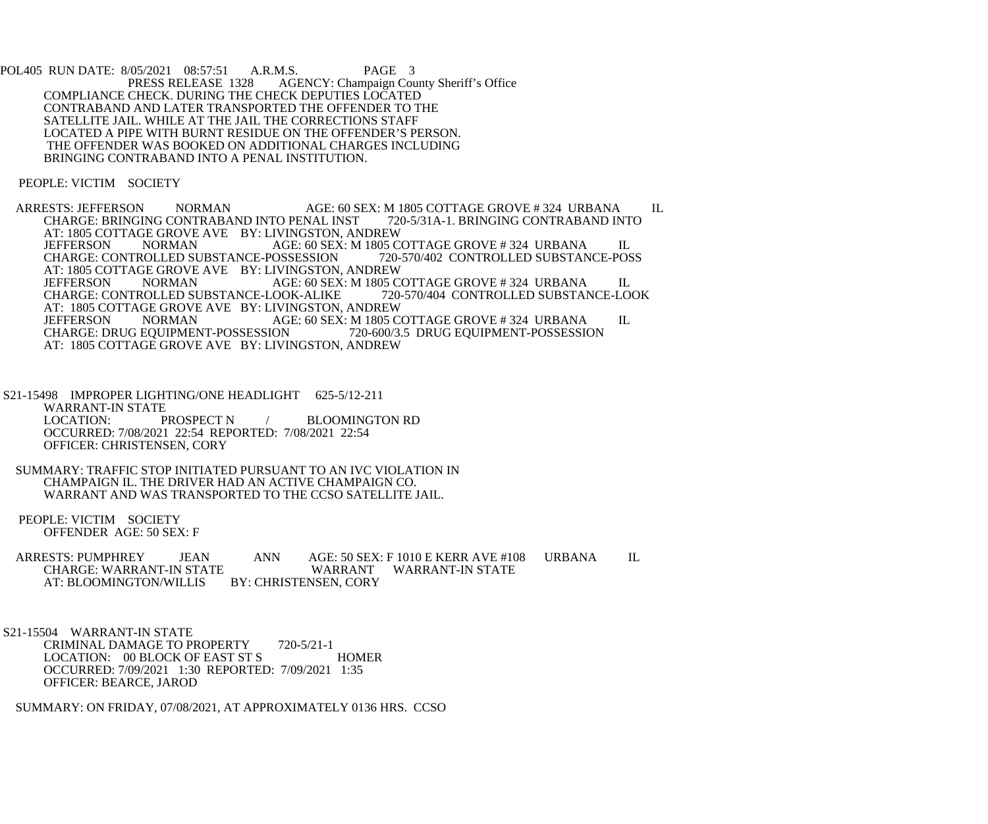POL405 RUN DATE: 8/05/2021 08:57:51 A.R.M.S. PAGE 3<br>PRESS RELEASE 1328 AGENCY: Champaign Cou AGENCY: Champaign County Sheriff's Office COMPLIANCE CHECK. DURING THE CHECK DEPUTIES LOCATED CONTRABAND AND LATER TRANSPORTED THE OFFENDER TO THE SATELLITE JAIL. WHILE AT THE JAIL THE CORRECTIONS STAFF LOCATED A PIPE WITH BURNT RESIDUE ON THE OFFENDER'S PERSON. THE OFFENDER WAS BOOKED ON ADDITIONAL CHARGES INCLUDING BRINGING CONTRABAND INTO A PENAL INSTITUTION.

PEOPLE: VICTIM SOCIETY

ARRESTS: JEFFERSON NORMAN AGE: 60 SEX: M 1805 COTTAGE GROVE # 324 URBANA IL<br>CHARGE: BRINGING CONTRABAND INTO PENAL INST 720-5/31A-1. BRINGING CONTRABAND INTO CHARGE: BRINGING CONTRABAND INTO PENAL INST AT: 1805 COTTAGE GROVE AVE BY: LIVINGSTON, ANDREW<br>JEFFERSON NORMAN AGE: 60 SEX: M 1805 C AGE: 60 SEX: M 1805 COTTAGE GROVE # 324 URBANA IL<br>OSSESSION 720-570/402 CONTROLLED SUBSTANCE-POSS CHARGE: CONTROLLED SUBSTANCE-POSSESSION AT: 1805 COTTAGE GROVE AVE BY: LIVINGSTON, ANDREW JEFFERSON NORMAN AGE: 60 SEX: M 1805 COTTAGE GROVE # 324 URBANA IL<br>CHARGE: CONTROLLED SUBSTANCE-LOOK-ALIKE 720-570/404 CONTROLLED SUBSTANCE-LOOK CHARGE: CONTROLLED SUBSTANCE-LOOK-ALIKE AT: 1805 COTTAGE GROVE AVE BY: LIVINGSTON, ANDREW JEFFERSON NORMAN AGE: 60 SEX: M 1805 C JEFFERSON NORMAN AGE: 60 SEX: M 1805 COTTAGE GROVE # 324 URBANA IL CHARGE: DRUG EQUIPMENT-POSSESSION 720-600/3.5 DRUG EQUIPMENT-POSSESSION 720-600/3.5 DRUG EQUIPMENT-POSSESSION AT: 1805 COTTAGE GROVE AVE BY: LIVINGSTON, ANDREW

 S21-15498 IMPROPER LIGHTING/ONE HEADLIGHT 625-5/12-211 WARRANT-IN STATE LOCATION: PROSPECT N / BLOOMINGTON RD OCCURRED: 7/08/2021 22:54 REPORTED: 7/08/2021 22:54 OFFICER: CHRISTENSEN, CORY

 SUMMARY: TRAFFIC STOP INITIATED PURSUANT TO AN IVC VIOLATION IN CHAMPAIGN IL. THE DRIVER HAD AN ACTIVE CHAMPAIGN CO. WARRANT AND WAS TRANSPORTED TO THE CCSO SATELLITE JAIL.

 PEOPLE: VICTIM SOCIETY OFFENDER AGE: 50 SEX: F

ARRESTS: PUMPHREY JEAN ANN AGE: 50 SEX: F 1010 E KERR AVE #108 URBANA IL<br>CHARGE: WARRANT-IN STATE WARRANT WARRANT-IN STATE CHARGE: WARRANT-IN STATE WARRANT WARRANT-IN STATE<br>AT: BLOOMINGTON/WILLIS BY: CHRISTENSEN, CORY AT: BLOOMINGTON/WILLIS

 S21-15504 WARRANT-IN STATE CRIMINAL DAMAGE TO PROPERTY 720-5/21-1 LOCATION: 00 BLOCK OF EAST ST S HOMER OCCURRED: 7/09/2021 1:30 REPORTED: 7/09/2021 1:35 OFFICER: BEARCE, JAROD

SUMMARY: ON FRIDAY, 07/08/2021, AT APPROXIMATELY 0136 HRS. CCSO